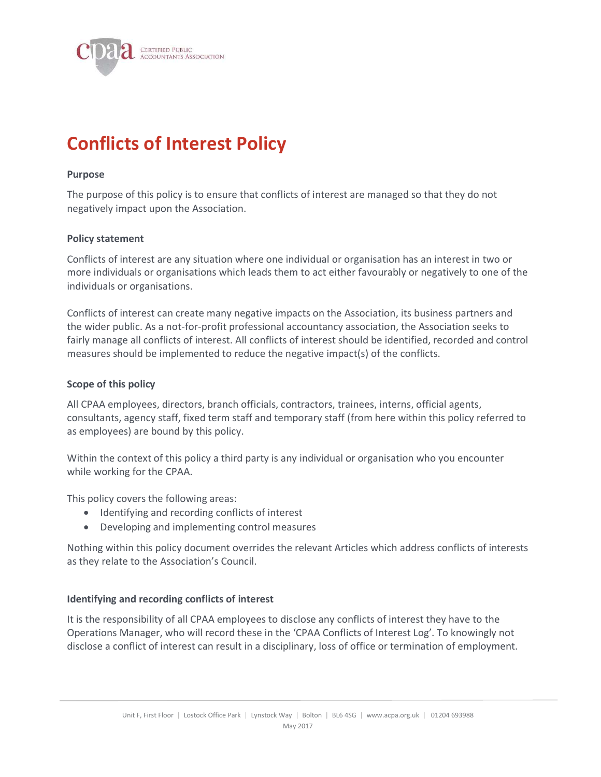

# Conflicts of Interest Policy

#### Purpose

The purpose of this policy is to ensure that conflicts of interest are managed so that they do not negatively impact upon the Association.

#### Policy statement

Conflicts of interest are any situation where one individual or organisation has an interest in two or more individuals or organisations which leads them to act either favourably or negatively to one of the individuals or organisations.

Conflicts of interest can create many negative impacts on the Association, its business partners and the wider public. As a not-for-profit professional accountancy association, the Association seeks to fairly manage all conflicts of interest. All conflicts of interest should be identified, recorded and control measures should be implemented to reduce the negative impact(s) of the conflicts.

#### Scope of this policy

All CPAA employees, directors, branch officials, contractors, trainees, interns, official agents, consultants, agency staff, fixed term staff and temporary staff (from here within this policy referred to as employees) are bound by this policy.

Within the context of this policy a third party is any individual or organisation who you encounter while working for the CPAA.

This policy covers the following areas:

- Identifying and recording conflicts of interest
- Developing and implementing control measures

Nothing within this policy document overrides the relevant Articles which address conflicts of interests as they relate to the Association's Council.

#### Identifying and recording conflicts of interest

It is the responsibility of all CPAA employees to disclose any conflicts of interest they have to the Operations Manager, who will record these in the 'CPAA Conflicts of Interest Log'. To knowingly not disclose a conflict of interest can result in a disciplinary, loss of office or termination of employment.